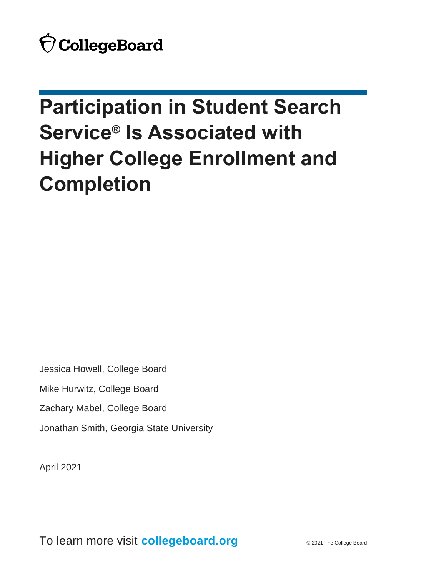# **Participation in Student Search Service® Is Associated with Higher College Enrollment and Completion**

Jessica Howell, College Board

Mike Hurwitz, College Board

Zachary Mabel, College Board

Jonathan Smith, Georgia State University

April 2021

To learn more visit **collegeboard.org** © 2021 The College Board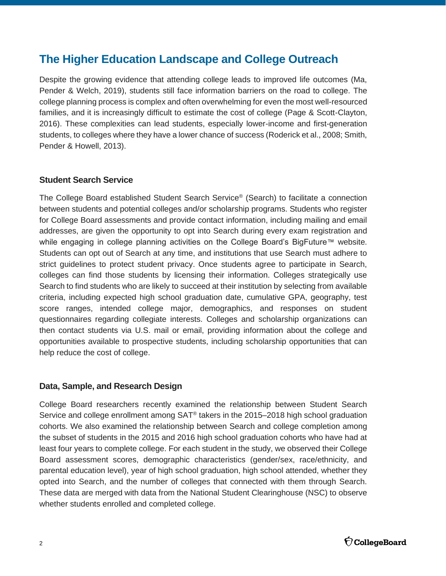## **The Higher Education Landscape and College Outreach**

Despite the growing evidence that attending college leads to improved life outcomes (Ma, Pender & Welch, 2019), students still face information barriers on the road to college. The college planning process is complex and often overwhelming for even the most well-resourced families, and it is increasingly difficult to estimate the cost of college (Page & Scott-Clayton, 2016). These complexities can lead students, especially lower-income and first-generation students, to colleges where they have a lower chance of success (Roderick et al., 2008; Smith, Pender & Howell, 2013).

#### **Student Search Service**

The College Board established Student Search Service® (Search) to facilitate a connection between students and potential colleges and/or scholarship programs. Students who register for College Board assessments and provide contact information, including mailing and email addresses, are given the opportunity to opt into Search during every exam registration and while engaging in college planning activities on the College Board's BigFuture™ website. Students can opt out of Search at any time, and institutions that use Search must adhere to strict guidelines to protect student privacy. Once students agree to participate in Search, colleges can find those students by licensing their information. Colleges strategically use Search to find students who are likely to succeed at their institution by selecting from available criteria, including expected high school graduation date, cumulative GPA, geography, test score ranges, intended college major, demographics, and responses on student questionnaires regarding collegiate interests. Colleges and scholarship organizations can then contact students via U.S. mail or email, providing information about the college and opportunities available to prospective students, including scholarship opportunities that can help reduce the cost of college.

#### **Data, Sample, and Research Design**

College Board researchers recently examined the relationship between Student Search Service and college enrollment among SAT® takers in the 2015–2018 high school graduation cohorts. We also examined the relationship between Search and college completion among the subset of students in the 2015 and 2016 high school graduation cohorts who have had at least four years to complete college. For each student in the study, we observed their College Board assessment scores, demographic characteristics (gender/sex, race/ethnicity, and parental education level), year of high school graduation, high school attended, whether they opted into Search, and the number of colleges that connected with them through Search. These data are merged with data from the National Student Clearinghouse (NSC) to observe whether students enrolled and completed college.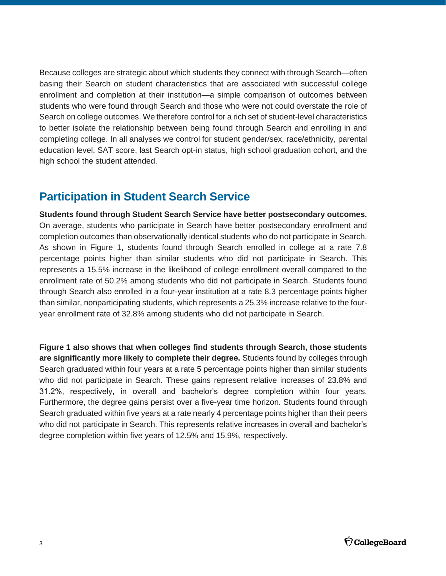Because colleges are strategic about which students they connect with through Search—often basing their Search on student characteristics that are associated with successful college enrollment and completion at their institution—a simple comparison of outcomes between students who were found through Search and those who were not could overstate the role of Search on college outcomes. We therefore control for a rich set of student-level characteristics to better isolate the relationship between being found through Search and enrolling in and completing college. In all analyses we control for student gender/sex, race/ethnicity, parental education level, SAT score, last Search opt-in status, high school graduation cohort, and the high school the student attended.

## **Participation in Student Search Service**

**Students found through Student Search Service have better postsecondary outcomes.** On average, students who participate in Search have better postsecondary enrollment and completion outcomes than observationally identical students who do not participate in Search. As shown in Figure 1, students found through Search enrolled in college at a rate 7.8 percentage points higher than similar students who did not participate in Search. This represents a 15.5% increase in the likelihood of college enrollment overall compared to the enrollment rate of 50.2% among students who did not participate in Search. Students found through Search also enrolled in a four-year institution at a rate 8.3 percentage points higher than similar, nonparticipating students, which represents a 25.3% increase relative to the fouryear enrollment rate of 32.8% among students who did not participate in Search.

**Figure 1 also shows that when colleges find students through Search, those students are significantly more likely to complete their degree.** Students found by colleges through Search graduated within four years at a rate 5 percentage points higher than similar students who did not participate in Search. These gains represent relative increases of 23.8% and 31.2%, respectively, in overall and bachelor's degree completion within four years. Furthermore, the degree gains persist over a five-year time horizon. Students found through Search graduated within five years at a rate nearly 4 percentage points higher than their peers who did not participate in Search. This represents relative increases in overall and bachelor's degree completion within five years of 12.5% and 15.9%, respectively.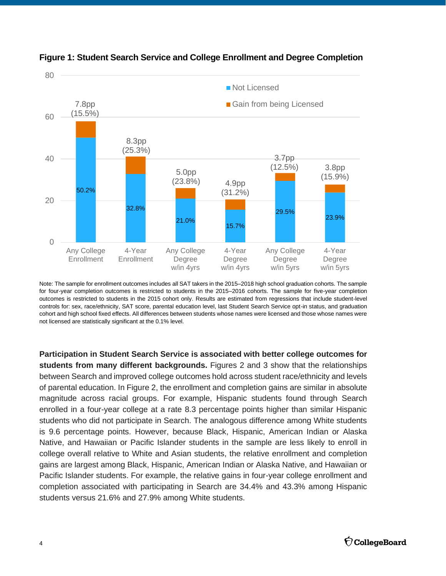



Note: The sample for enrollment outcomes includes all SAT takers in the 2015–2018 high school graduation cohorts. The sample for four-year completion outcomes is restricted to students in the 2015–2016 cohorts. The sample for five-year completion outcomes is restricted to students in the 2015 cohort only. Results are estimated from regressions that include student-level controls for: sex, race/ethnicity, SAT score, parental education level, last Student Search Service opt-in status, and graduation cohort and high school fixed effects. All differences between students whose names were licensed and those whose names were not licensed are statistically significant at the 0.1% level.

**Participation in Student Search Service is associated with better college outcomes for students from many different backgrounds.** Figures 2 and 3 show that the relationships between Search and improved college outcomes hold across student race/ethnicity and levels of parental education. In Figure 2, the enrollment and completion gains are similar in absolute magnitude across racial groups. For example, Hispanic students found through Search enrolled in a four-year college at a rate 8.3 percentage points higher than similar Hispanic students who did not participate in Search. The analogous difference among White students is 9.6 percentage points. However, because Black, Hispanic, American Indian or Alaska Native, and Hawaiian or Pacific Islander students in the sample are less likely to enroll in college overall relative to White and Asian students, the relative enrollment and completion gains are largest among Black, Hispanic, American Indian or Alaska Native, and Hawaiian or Pacific Islander students. For example, the relative gains in four-year college enrollment and completion associated with participating in Search are 34.4% and 43.3% among Hispanic students versus 21.6% and 27.9% among White students.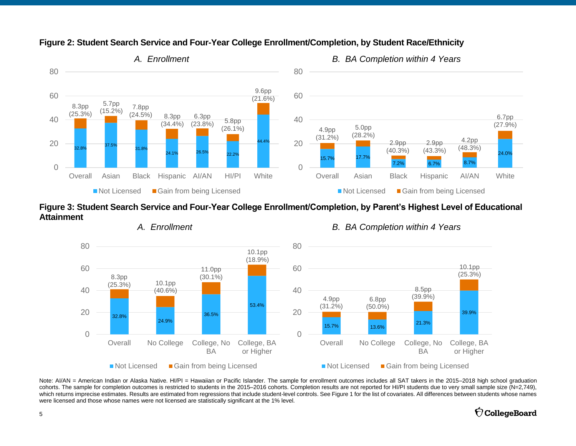

#### **Figure 2: Student Search Service and Four-Year College Enrollment/Completion, by Student Race/Ethnicity**

**Figure 3: Student Search Service and Four-Year College Enrollment/Completion, by Parent's Highest Level of Educational Attainment**



*A. Enrollment B. BA Completion within 4 Years*

Note: AI/AN = American Indian or Alaska Native. HI/PI = Hawaiian or Pacific Islander. The sample for enrollment outcomes includes all SAT takers in the 2015–2018 high school graduation cohorts. The sample for completion outcomes is restricted to students in the 2015–2016 cohorts. Completion results are not reported for HI/PI students due to very small sample size (N=2,749), which returns imprecise estimates. Results are estimated from regressions that include student-level controls. See Figure 1 for the list of covariates. All differences between students whose names were licensed and those whose names were not licensed are statistically significant at the 1% level.

#### $\bigcirc$  CollegeBoard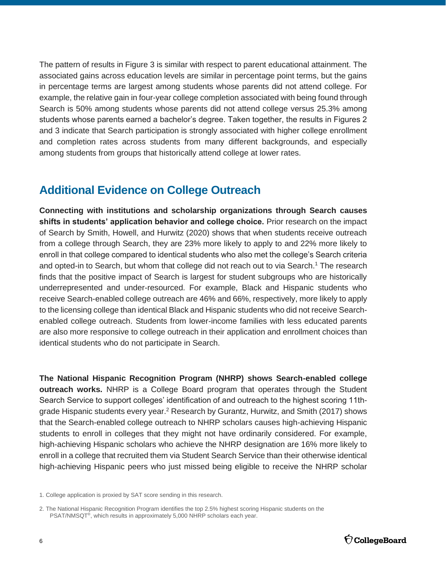The pattern of results in Figure 3 is similar with respect to parent educational attainment. The associated gains across education levels are similar in percentage point terms, but the gains in percentage terms are largest among students whose parents did not attend college. For example, the relative gain in four-year college completion associated with being found through Search is 50% among students whose parents did not attend college versus 25.3% among students whose parents earned a bachelor's degree. Taken together, the results in Figures 2 and 3 indicate that Search participation is strongly associated with higher college enrollment and completion rates across students from many different backgrounds, and especially among students from groups that historically attend college at lower rates.

## **Additional Evidence on College Outreach**

**Connecting with institutions and scholarship organizations through Search causes shifts in students' application behavior and college choice.** Prior research on the impact of Search by Smith, Howell, and Hurwitz (2020) shows that when students receive outreach from a college through Search, they are 23% more likely to apply to and 22% more likely to enroll in that college compared to identical students who also met the college's Search criteria and opted-in to Search, but whom that college did not reach out to via Search.<sup>1</sup> The research finds that the positive impact of Search is largest for student subgroups who are historically underrepresented and under-resourced. For example, Black and Hispanic students who receive Search-enabled college outreach are 46% and 66%, respectively, more likely to apply to the licensing college than identical Black and Hispanic students who did not receive Searchenabled college outreach. Students from lower-income families with less educated parents are also more responsive to college outreach in their application and enrollment choices than identical students who do not participate in Search.

**The National Hispanic Recognition Program (NHRP) shows Search-enabled college outreach works.** NHRP is a College Board program that operates through the Student Search Service to support colleges' identification of and outreach to the highest scoring 11thgrade Hispanic students every year.<sup>2</sup> Research by Gurantz, Hurwitz, and Smith (2017) shows that the Search-enabled college outreach to NHRP scholars causes high-achieving Hispanic students to enroll in colleges that they might not have ordinarily considered. For example, high-achieving Hispanic scholars who achieve the NHRP designation are 16% more likely to enroll in a college that recruited them via Student Search Service than their otherwise identical high-achieving Hispanic peers who just missed being eligible to receive the NHRP scholar

<sup>1.</sup> College application is proxied by SAT score sending in this research.

<sup>2.</sup> The National Hispanic Recognition Program identifies the top 2.5% highest scoring Hispanic students on the PSAT/NMSQT<sup>®</sup>, which results in approximately 5,000 NHRP scholars each year.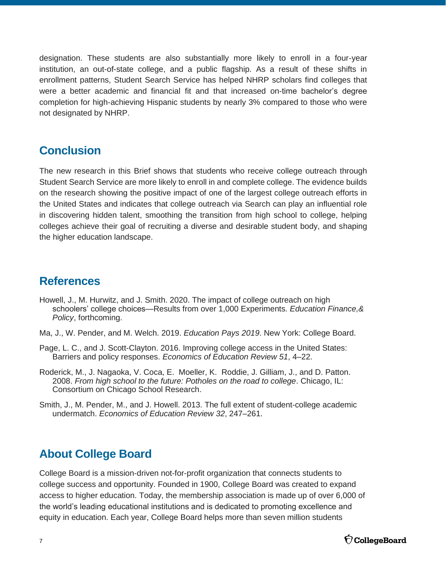designation. These students are also substantially more likely to enroll in a four-year institution, an out-of-state college, and a public flagship. As a result of these shifts in enrollment patterns, Student Search Service has helped NHRP scholars find colleges that were a better academic and financial fit and that increased on-time bachelor's degree completion for high-achieving Hispanic students by nearly 3% compared to those who were not designated by NHRP.

## **Conclusion**

The new research in this Brief shows that students who receive college outreach through Student Search Service are more likely to enroll in and complete college. The evidence builds on the research showing the positive impact of one of the largest college outreach efforts in the United States and indicates that college outreach via Search can play an influential role in discovering hidden talent, smoothing the transition from high school to college, helping colleges achieve their goal of recruiting a diverse and desirable student body, and shaping the higher education landscape.

### **References**

- Howell, J., M. Hurwitz, and J. Smith. 2020. The impact of college outreach on high schoolers' college choices—Results from over 1,000 Experiments. *Education Finance,& Policy*, forthcoming.
- Ma, J., W. Pender, and M. Welch. 2019. *Education Pays 2019*. New York: College Board.
- Page, L. C., and J. Scott-Clayton. 2016. Improving college access in the United States: Barriers and policy responses. *Economics of Education Review 51*, 4–22.
- Roderick, M., J. Nagaoka, V. Coca, E. Moeller, K. Roddie, J. Gilliam, J., and D. Patton. 2008. *From high school to the future: Potholes on the road to college*. Chicago, IL: Consortium on Chicago School Research.
- Smith, J., M. Pender, M., and J. Howell. 2013. The full extent of student-college academic undermatch. *Economics of Education Review 32*, 247–261.

## **About College Board**

College Board is a mission-driven not-for-profit organization that connects students to college success and opportunity. Founded in 1900, College Board was created to expand access to higher education. Today, the membership association is made up of over 6,000 of the world's leading educational institutions and is dedicated to promoting excellence and equity in education. Each year, College Board helps more than seven million students